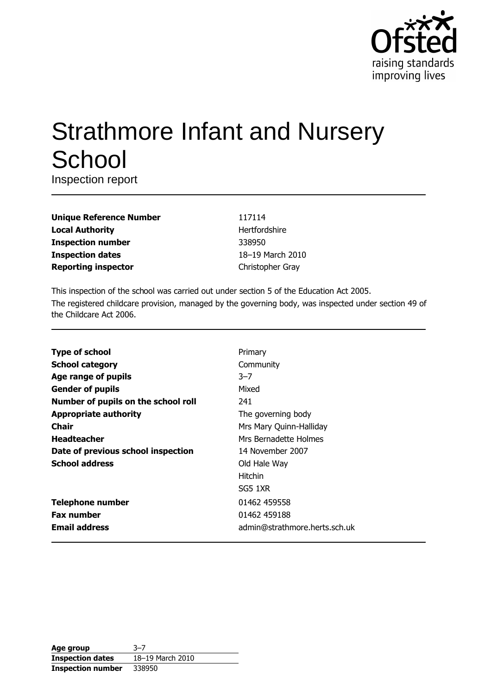

# **Strathmore Infant and Nursery** School

Inspection report

| <b>Unique Reference Number</b> |
|--------------------------------|
| <b>Local Authority</b>         |
| <b>Inspection number</b>       |
| <b>Inspection dates</b>        |
| <b>Reporting inspector</b>     |

117114 Hertfordshire 338950 18-19 March 2010 Christopher Gray

This inspection of the school was carried out under section 5 of the Education Act 2005. The registered childcare provision, managed by the governing body, was inspected under section 49 of the Childcare Act 2006.

| <b>Type of school</b>               | Primary                       |
|-------------------------------------|-------------------------------|
| <b>School category</b>              | Community                     |
| Age range of pupils                 | $3 - 7$                       |
| <b>Gender of pupils</b>             | Mixed                         |
| Number of pupils on the school roll | 241                           |
| <b>Appropriate authority</b>        | The governing body            |
| Chair                               | Mrs Mary Quinn-Halliday       |
| <b>Headteacher</b>                  | Mrs Bernadette Holmes         |
| Date of previous school inspection  | 14 November 2007              |
| <b>School address</b>               | Old Hale Way                  |
|                                     | <b>Hitchin</b>                |
|                                     | SG5 1XR                       |
| <b>Telephone number</b>             | 01462 459558                  |
| <b>Fax number</b>                   | 01462 459188                  |
| <b>Email address</b>                | admin@strathmore.herts.sch.uk |

| Age group                | $3 - 7$          |
|--------------------------|------------------|
| <b>Inspection dates</b>  | 18-19 March 2010 |
| <b>Inspection number</b> | 338950           |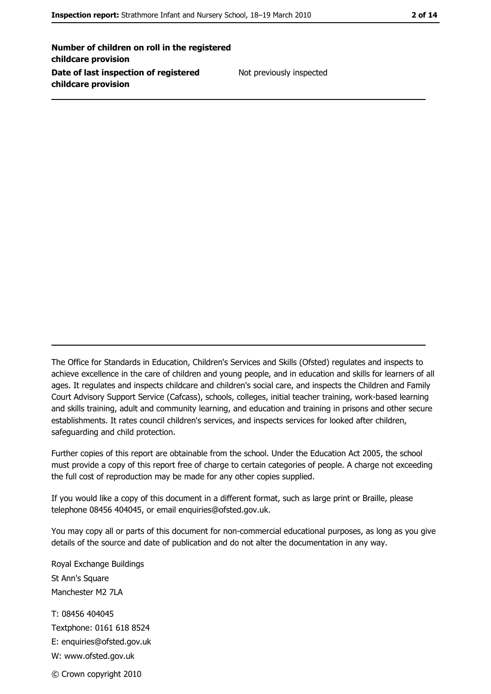Number of children on roll in the registered childcare provision Date of last inspection of registered childcare provision

Not previously inspected

The Office for Standards in Education, Children's Services and Skills (Ofsted) regulates and inspects to achieve excellence in the care of children and young people, and in education and skills for learners of all ages. It regulates and inspects childcare and children's social care, and inspects the Children and Family Court Advisory Support Service (Cafcass), schools, colleges, initial teacher training, work-based learning and skills training, adult and community learning, and education and training in prisons and other secure establishments. It rates council children's services, and inspects services for looked after children, safequarding and child protection.

Further copies of this report are obtainable from the school. Under the Education Act 2005, the school must provide a copy of this report free of charge to certain categories of people. A charge not exceeding the full cost of reproduction may be made for any other copies supplied.

If you would like a copy of this document in a different format, such as large print or Braille, please telephone 08456 404045, or email enquiries@ofsted.gov.uk.

You may copy all or parts of this document for non-commercial educational purposes, as long as you give details of the source and date of publication and do not alter the documentation in any way.

Royal Exchange Buildings St Ann's Square Manchester M2 7LA T: 08456 404045 Textphone: 0161 618 8524 E: enquiries@ofsted.gov.uk W: www.ofsted.gov.uk © Crown copyright 2010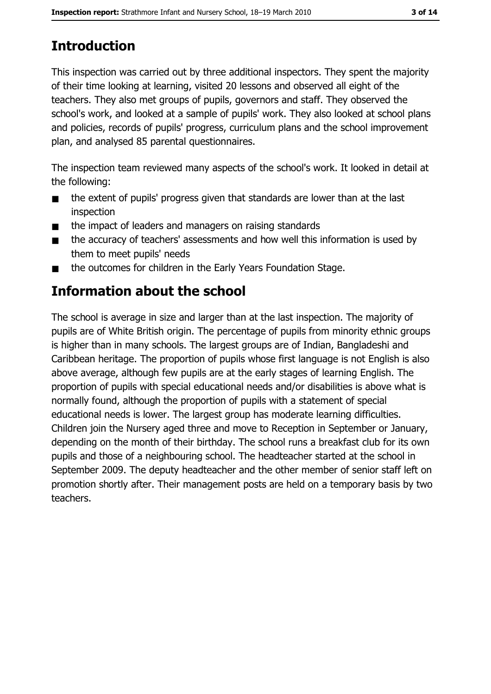# **Introduction**

This inspection was carried out by three additional inspectors. They spent the majority of their time looking at learning, visited 20 lessons and observed all eight of the teachers. They also met groups of pupils, governors and staff. They observed the school's work, and looked at a sample of pupils' work. They also looked at school plans and policies, records of pupils' progress, curriculum plans and the school improvement plan, and analysed 85 parental questionnaires.

The inspection team reviewed many aspects of the school's work. It looked in detail at the following:

- the extent of pupils' progress given that standards are lower than at the last  $\blacksquare$ inspection
- the impact of leaders and managers on raising standards  $\blacksquare$
- the accuracy of teachers' assessments and how well this information is used by  $\blacksquare$ them to meet pupils' needs
- the outcomes for children in the Early Years Foundation Stage.  $\blacksquare$

# **Information about the school**

The school is average in size and larger than at the last inspection. The majority of pupils are of White British origin. The percentage of pupils from minority ethnic groups is higher than in many schools. The largest groups are of Indian, Bangladeshi and Caribbean heritage. The proportion of pupils whose first language is not English is also above average, although few pupils are at the early stages of learning English. The proportion of pupils with special educational needs and/or disabilities is above what is normally found, although the proportion of pupils with a statement of special educational needs is lower. The largest group has moderate learning difficulties. Children join the Nursery aged three and move to Reception in September or January, depending on the month of their birthday. The school runs a breakfast club for its own pupils and those of a neighbouring school. The headteacher started at the school in September 2009. The deputy headteacher and the other member of senior staff left on promotion shortly after. Their management posts are held on a temporary basis by two teachers.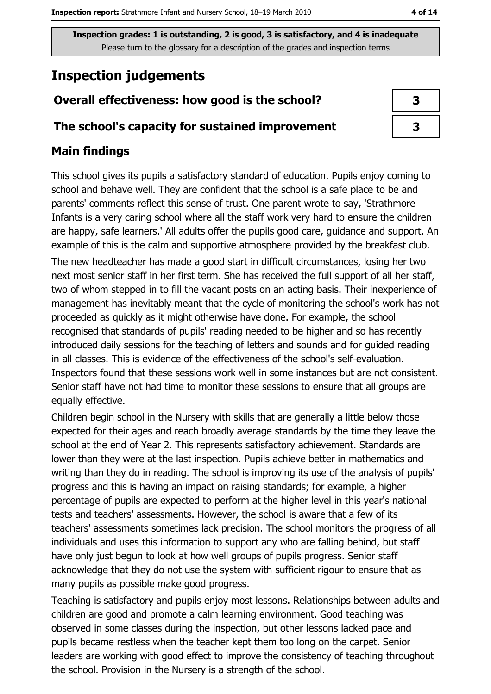# **Inspection judgements**

## Overall effectiveness: how good is the school?

## The school's capacity for sustained improvement

# **Main findings**

This school gives its pupils a satisfactory standard of education. Pupils enjoy coming to school and behave well. They are confident that the school is a safe place to be and parents' comments reflect this sense of trust. One parent wrote to say, 'Strathmore Infants is a very caring school where all the staff work very hard to ensure the children are happy, safe learners.' All adults offer the pupils good care, guidance and support. An example of this is the calm and supportive atmosphere provided by the breakfast club. The new headteacher has made a good start in difficult circumstances, losing her two next most senior staff in her first term. She has received the full support of all her staff, two of whom stepped in to fill the vacant posts on an acting basis. Their inexperience of management has inevitably meant that the cycle of monitoring the school's work has not proceeded as quickly as it might otherwise have done. For example, the school recognised that standards of pupils' reading needed to be higher and so has recently introduced daily sessions for the teaching of letters and sounds and for guided reading in all classes. This is evidence of the effectiveness of the school's self-evaluation. Inspectors found that these sessions work well in some instances but are not consistent. Senior staff have not had time to monitor these sessions to ensure that all groups are equally effective.

Children begin school in the Nursery with skills that are generally a little below those expected for their ages and reach broadly average standards by the time they leave the school at the end of Year 2. This represents satisfactory achievement. Standards are lower than they were at the last inspection. Pupils achieve better in mathematics and writing than they do in reading. The school is improving its use of the analysis of pupils' progress and this is having an impact on raising standards; for example, a higher percentage of pupils are expected to perform at the higher level in this year's national tests and teachers' assessments. However, the school is aware that a few of its teachers' assessments sometimes lack precision. The school monitors the progress of all individuals and uses this information to support any who are falling behind, but staff have only just begun to look at how well groups of pupils progress. Senior staff acknowledge that they do not use the system with sufficient rigour to ensure that as many pupils as possible make good progress.

Teaching is satisfactory and pupils eniov most lessons. Relationships between adults and children are good and promote a calm learning environment. Good teaching was observed in some classes during the inspection, but other lessons lacked pace and pupils became restless when the teacher kept them too long on the carpet. Senior leaders are working with good effect to improve the consistency of teaching throughout the school. Provision in the Nursery is a strength of the school.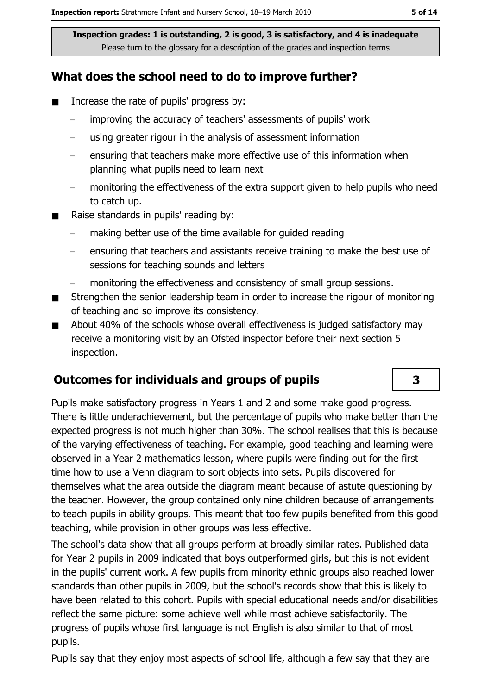## What does the school need to do to improve further?

- Increase the rate of pupils' progress by:  $\blacksquare$ 
	- improving the accuracy of teachers' assessments of pupils' work  $\equiv$
	- using greater rigour in the analysis of assessment information
	- ensuring that teachers make more effective use of this information when planning what pupils need to learn next
	- monitoring the effectiveness of the extra support given to help pupils who need  $\equiv$ to catch up.
- Raise standards in pupils' reading by:  $\blacksquare$ 
	- making better use of the time available for guided reading
	- ensuring that teachers and assistants receive training to make the best use of sessions for teaching sounds and letters
	- monitoring the effectiveness and consistency of small group sessions.
- Strengthen the senior leadership team in order to increase the rigour of monitoring  $\blacksquare$ of teaching and so improve its consistency.
- About 40% of the schools whose overall effectiveness is judged satisfactory may  $\blacksquare$ receive a monitoring visit by an Ofsted inspector before their next section 5 inspection.

# **Outcomes for individuals and groups of pupils**

Pupils make satisfactory progress in Years 1 and 2 and some make good progress. There is little underachievement, but the percentage of pupils who make better than the expected progress is not much higher than 30%. The school realises that this is because of the varying effectiveness of teaching. For example, good teaching and learning were observed in a Year 2 mathematics lesson, where pupils were finding out for the first time how to use a Venn diagram to sort objects into sets. Pupils discovered for themselves what the area outside the diagram meant because of astute questioning by the teacher. However, the group contained only nine children because of arrangements to teach pupils in ability groups. This meant that too few pupils benefited from this good teaching, while provision in other groups was less effective.

The school's data show that all groups perform at broadly similar rates. Published data for Year 2 pupils in 2009 indicated that boys outperformed girls, but this is not evident in the pupils' current work. A few pupils from minority ethnic groups also reached lower standards than other pupils in 2009, but the school's records show that this is likely to have been related to this cohort. Pupils with special educational needs and/or disabilities reflect the same picture: some achieve well while most achieve satisfactorily. The progress of pupils whose first language is not English is also similar to that of most pupils.

Pupils say that they enjoy most aspects of school life, although a few say that they are

 $\overline{\mathbf{3}}$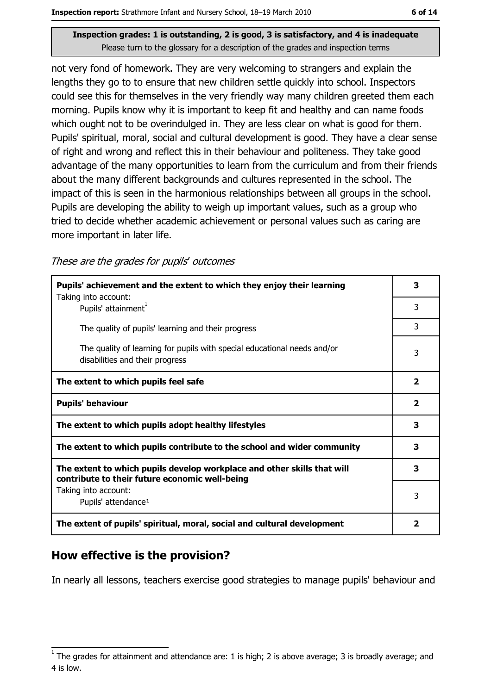not very fond of homework. They are very welcoming to strangers and explain the lengths they go to to ensure that new children settle quickly into school. Inspectors could see this for themselves in the very friendly way many children greeted them each morning. Pupils know why it is important to keep fit and healthy and can name foods which ought not to be overindulged in. They are less clear on what is good for them. Pupils' spiritual, moral, social and cultural development is good. They have a clear sense of right and wrong and reflect this in their behaviour and politeness. They take good advantage of the many opportunities to learn from the curriculum and from their friends about the many different backgrounds and cultures represented in the school. The impact of this is seen in the harmonious relationships between all groups in the school. Pupils are developing the ability to weigh up important values, such as a group who tried to decide whether academic achievement or personal values such as caring are more important in later life.

These are the grades for pupils' outcomes

| Pupils' achievement and the extent to which they enjoy their learning                                                     |                         |
|---------------------------------------------------------------------------------------------------------------------------|-------------------------|
| Taking into account:<br>Pupils' attainment <sup>1</sup>                                                                   | 3                       |
| The quality of pupils' learning and their progress                                                                        | 3                       |
| The quality of learning for pupils with special educational needs and/or<br>disabilities and their progress               | 3                       |
| The extent to which pupils feel safe                                                                                      | $\overline{\mathbf{2}}$ |
| <b>Pupils' behaviour</b>                                                                                                  | $\overline{\mathbf{2}}$ |
| The extent to which pupils adopt healthy lifestyles                                                                       | 3                       |
| The extent to which pupils contribute to the school and wider community                                                   | 3                       |
| The extent to which pupils develop workplace and other skills that will<br>contribute to their future economic well-being | 3                       |
| Taking into account:                                                                                                      | 3                       |
| Pupils' attendance <sup>1</sup>                                                                                           |                         |
| The extent of pupils' spiritual, moral, social and cultural development                                                   | $\overline{\mathbf{2}}$ |

## How effective is the provision?

In nearly all lessons, teachers exercise good strategies to manage pupils' behaviour and

The grades for attainment and attendance are: 1 is high; 2 is above average; 3 is broadly average; and 4 is low.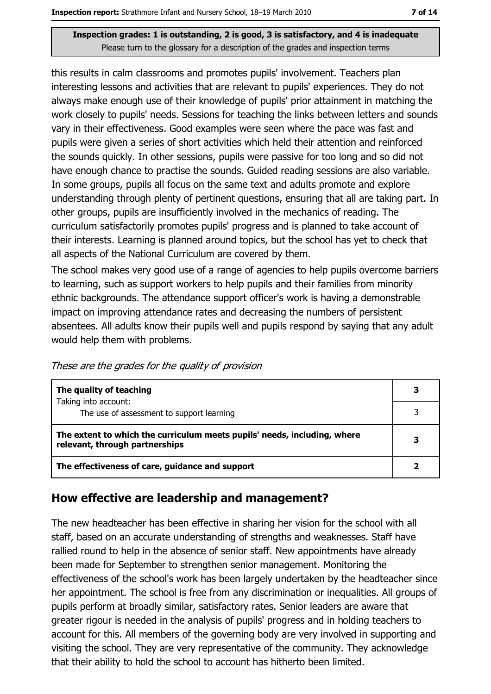this results in calm classrooms and promotes pupils' involvement. Teachers plan interesting lessons and activities that are relevant to pupils' experiences. They do not always make enough use of their knowledge of pupils' prior attainment in matching the work closely to pupils' needs. Sessions for teaching the links between letters and sounds vary in their effectiveness. Good examples were seen where the pace was fast and pupils were given a series of short activities which held their attention and reinforced the sounds quickly. In other sessions, pupils were passive for too long and so did not have enough chance to practise the sounds. Guided reading sessions are also variable. In some groups, pupils all focus on the same text and adults promote and explore understanding through plenty of pertinent questions, ensuring that all are taking part. In other groups, pupils are insufficiently involved in the mechanics of reading. The curriculum satisfactorily promotes pupils' progress and is planned to take account of their interests. Learning is planned around topics, but the school has yet to check that all aspects of the National Curriculum are covered by them.

The school makes very good use of a range of agencies to help pupils overcome barriers to learning, such as support workers to help pupils and their families from minority ethnic backgrounds. The attendance support officer's work is having a demonstrable impact on improving attendance rates and decreasing the numbers of persistent absentees. All adults know their pupils well and pupils respond by saying that any adult would help them with problems.

| These are the grades for the quality of provision |  |  |  |
|---------------------------------------------------|--|--|--|
|                                                   |  |  |  |

| The quality of teaching                                                                                    | 3 |
|------------------------------------------------------------------------------------------------------------|---|
| Taking into account:<br>The use of assessment to support learning                                          |   |
| The extent to which the curriculum meets pupils' needs, including, where<br>relevant, through partnerships | 3 |
| The effectiveness of care, guidance and support                                                            |   |

#### How effective are leadership and management?

The new headteacher has been effective in sharing her vision for the school with all staff, based on an accurate understanding of strengths and weaknesses. Staff have rallied round to help in the absence of senior staff. New appointments have already been made for September to strengthen senior management. Monitoring the effectiveness of the school's work has been largely undertaken by the headteacher since her appointment. The school is free from any discrimination or inequalities. All groups of pupils perform at broadly similar, satisfactory rates. Senior leaders are aware that greater rigour is needed in the analysis of pupils' progress and in holding teachers to account for this. All members of the governing body are very involved in supporting and visiting the school. They are very representative of the community. They acknowledge that their ability to hold the school to account has hitherto been limited.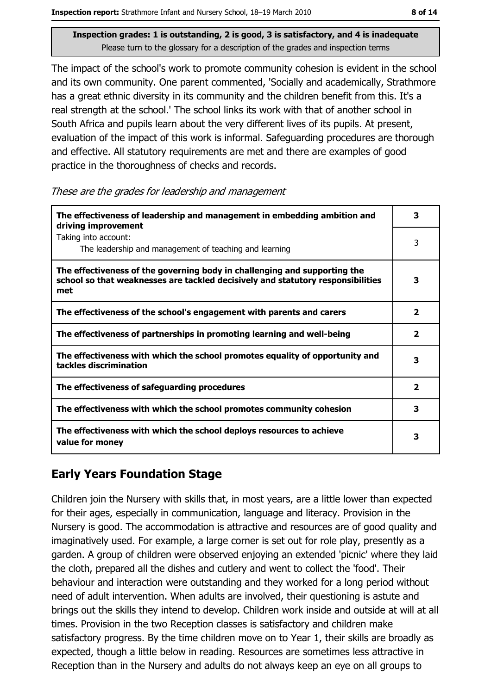The impact of the school's work to promote community cohesion is evident in the school and its own community. One parent commented, 'Socially and academically, Strathmore has a great ethnic diversity in its community and the children benefit from this. It's a real strength at the school.' The school links its work with that of another school in South Africa and pupils learn about the very different lives of its pupils. At present, evaluation of the impact of this work is informal. Safeguarding procedures are thorough and effective. All statutory requirements are met and there are examples of good practice in the thoroughness of checks and records.

These are the grades for leadership and management

| The effectiveness of leadership and management in embedding ambition and<br>driving improvement                                                                     | 3                       |
|---------------------------------------------------------------------------------------------------------------------------------------------------------------------|-------------------------|
| Taking into account:<br>The leadership and management of teaching and learning                                                                                      | 3                       |
| The effectiveness of the governing body in challenging and supporting the<br>school so that weaknesses are tackled decisively and statutory responsibilities<br>met | 3                       |
| The effectiveness of the school's engagement with parents and carers                                                                                                | $\mathbf{2}$            |
| The effectiveness of partnerships in promoting learning and well-being                                                                                              | 2                       |
| The effectiveness with which the school promotes equality of opportunity and<br>tackles discrimination                                                              | з                       |
| The effectiveness of safeguarding procedures                                                                                                                        | $\overline{\mathbf{2}}$ |
| The effectiveness with which the school promotes community cohesion                                                                                                 | 3                       |
| The effectiveness with which the school deploys resources to achieve<br>value for money                                                                             | з                       |

# **Early Years Foundation Stage**

Children join the Nursery with skills that, in most years, are a little lower than expected for their ages, especially in communication, language and literacy. Provision in the Nursery is good. The accommodation is attractive and resources are of good quality and imaginatively used. For example, a large corner is set out for role play, presently as a garden. A group of children were observed enjoying an extended 'picnic' where they laid the cloth, prepared all the dishes and cutlery and went to collect the 'food'. Their behaviour and interaction were outstanding and they worked for a long period without need of adult intervention. When adults are involved, their questioning is astute and brings out the skills they intend to develop. Children work inside and outside at will at all times. Provision in the two Reception classes is satisfactory and children make satisfactory progress. By the time children move on to Year 1, their skills are broadly as expected, though a little below in reading. Resources are sometimes less attractive in Reception than in the Nursery and adults do not always keep an eye on all groups to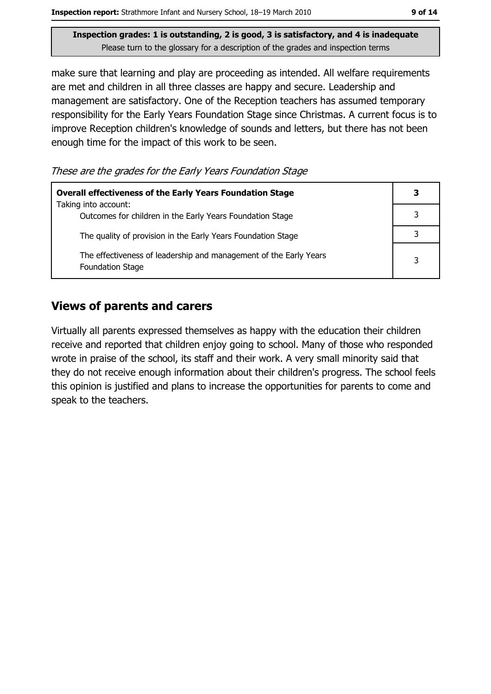make sure that learning and play are proceeding as intended. All welfare requirements are met and children in all three classes are happy and secure. Leadership and management are satisfactory. One of the Reception teachers has assumed temporary responsibility for the Early Years Foundation Stage since Christmas. A current focus is to improve Reception children's knowledge of sounds and letters, but there has not been enough time for the impact of this work to be seen.

These are the grades for the Early Years Foundation Stage

| <b>Overall effectiveness of the Early Years Foundation Stage</b>                             | 3 |
|----------------------------------------------------------------------------------------------|---|
| Taking into account:<br>Outcomes for children in the Early Years Foundation Stage            |   |
| The quality of provision in the Early Years Foundation Stage                                 |   |
| The effectiveness of leadership and management of the Early Years<br><b>Foundation Stage</b> | 3 |

## **Views of parents and carers**

Virtually all parents expressed themselves as happy with the education their children receive and reported that children enjoy going to school. Many of those who responded wrote in praise of the school, its staff and their work. A very small minority said that they do not receive enough information about their children's progress. The school feels this opinion is justified and plans to increase the opportunities for parents to come and speak to the teachers.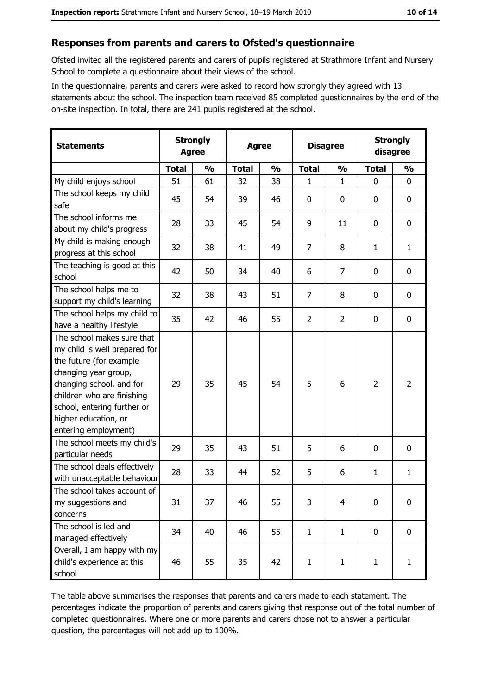#### Responses from parents and carers to Ofsted's questionnaire

Ofsted invited all the registered parents and carers of pupils registered at Strathmore Infant and Nursery School to complete a questionnaire about their views of the school.

In the questionnaire, parents and carers were asked to record how strongly they agreed with 13 statements about the school. The inspection team received 85 completed questionnaires by the end of the on-site inspection. In total, there are 241 pupils registered at the school.

| <b>Statements</b>                                                                                                                                                                                                                                       | <b>Strongly</b><br><b>Agree</b> |               | <b>Agree</b> |               | <b>Disagree</b> |                | <b>Strongly</b><br>disagree |                |
|---------------------------------------------------------------------------------------------------------------------------------------------------------------------------------------------------------------------------------------------------------|---------------------------------|---------------|--------------|---------------|-----------------|----------------|-----------------------------|----------------|
|                                                                                                                                                                                                                                                         | <b>Total</b>                    | $\frac{0}{0}$ | <b>Total</b> | $\frac{0}{0}$ | <b>Total</b>    | $\frac{0}{0}$  | <b>Total</b>                | $\frac{0}{0}$  |
| My child enjoys school                                                                                                                                                                                                                                  | 51                              | 61            | 32           | 38            | 1               | $\mathbf 1$    | $\mathbf{0}$                | 0              |
| The school keeps my child<br>safe                                                                                                                                                                                                                       | 45                              | 54            | 39           | 46            | 0               | 0              | $\mathbf{0}$                | 0              |
| The school informs me<br>about my child's progress                                                                                                                                                                                                      | 28                              | 33            | 45           | 54            | 9               | 11             | $\mathbf 0$                 | 0              |
| My child is making enough<br>progress at this school                                                                                                                                                                                                    | 32                              | 38            | 41           | 49            | $\overline{7}$  | 8              | $\mathbf{1}$                | $\mathbf{1}$   |
| The teaching is good at this<br>school                                                                                                                                                                                                                  | 42                              | 50            | 34           | 40            | 6               | 7              | 0                           | 0              |
| The school helps me to<br>support my child's learning                                                                                                                                                                                                   | 32                              | 38            | 43           | 51            | $\overline{7}$  | 8              | $\mathbf 0$                 | 0              |
| The school helps my child to<br>have a healthy lifestyle                                                                                                                                                                                                | 35                              | 42            | 46           | 55            | $\overline{2}$  | $\overline{2}$ | 0                           | 0              |
| The school makes sure that<br>my child is well prepared for<br>the future (for example<br>changing year group,<br>changing school, and for<br>children who are finishing<br>school, entering further or<br>higher education, or<br>entering employment) | 29                              | 35            | 45           | 54            | 5               | 6              | $\overline{2}$              | $\overline{2}$ |
| The school meets my child's<br>particular needs                                                                                                                                                                                                         | 29                              | 35            | 43           | 51            | 5               | 6              | 0                           | 0              |
| The school deals effectively<br>with unacceptable behaviour                                                                                                                                                                                             | 28                              | 33            | 44           | 52            | 5               | 6              | $\mathbf{1}$                | $\mathbf{1}$   |
| The school takes account of<br>my suggestions and<br>concerns                                                                                                                                                                                           | 31                              | 37            | 46           | 55            | 3               | 4              | 0                           | 0              |
| The school is led and<br>managed effectively                                                                                                                                                                                                            | 34                              | 40            | 46           | 55            | $\mathbf{1}$    | $\mathbf{1}$   | $\bf{0}$                    | 0              |
| Overall, I am happy with my<br>child's experience at this<br>school                                                                                                                                                                                     | 46                              | 55            | 35           | 42            | $\mathbf{1}$    | $\mathbf{1}$   | $\mathbf{1}$                | $\mathbf{1}$   |

The table above summarises the responses that parents and carers made to each statement. The percentages indicate the proportion of parents and carers giving that response out of the total number of completed questionnaires. Where one or more parents and carers chose not to answer a particular question, the percentages will not add up to 100%.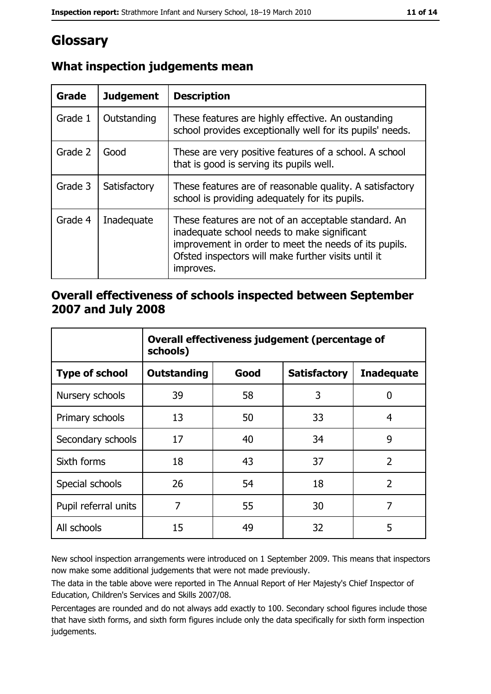# Glossary

| <b>Grade</b> | <b>Judgement</b> | <b>Description</b>                                                                                                                                                                                                               |
|--------------|------------------|----------------------------------------------------------------------------------------------------------------------------------------------------------------------------------------------------------------------------------|
| Grade 1      | Outstanding      | These features are highly effective. An oustanding<br>school provides exceptionally well for its pupils' needs.                                                                                                                  |
| Grade 2      | Good             | These are very positive features of a school. A school<br>that is good is serving its pupils well.                                                                                                                               |
| Grade 3      | Satisfactory     | These features are of reasonable quality. A satisfactory<br>school is providing adequately for its pupils.                                                                                                                       |
| Grade 4      | Inadequate       | These features are not of an acceptable standard. An<br>inadequate school needs to make significant<br>improvement in order to meet the needs of its pupils.<br>Ofsted inspectors will make further visits until it<br>improves. |

# What inspection judgements mean

## Overall effectiveness of schools inspected between September 2007 and July 2008

|                       | Overall effectiveness judgement (percentage of<br>schools) |      |                     |                   |
|-----------------------|------------------------------------------------------------|------|---------------------|-------------------|
| <b>Type of school</b> | <b>Outstanding</b>                                         | Good | <b>Satisfactory</b> | <b>Inadequate</b> |
| Nursery schools       | 39                                                         | 58   | 3                   | 0                 |
| Primary schools       | 13                                                         | 50   | 33                  | 4                 |
| Secondary schools     | 17                                                         | 40   | 34                  | 9                 |
| Sixth forms           | 18                                                         | 43   | 37                  | $\overline{2}$    |
| Special schools       | 26                                                         | 54   | 18                  | $\overline{2}$    |
| Pupil referral units  | 7                                                          | 55   | 30                  | 7                 |
| All schools           | 15                                                         | 49   | 32                  | 5                 |

New school inspection arrangements were introduced on 1 September 2009. This means that inspectors now make some additional judgements that were not made previously.

The data in the table above were reported in The Annual Report of Her Majesty's Chief Inspector of Education, Children's Services and Skills 2007/08.

Percentages are rounded and do not always add exactly to 100. Secondary school figures include those that have sixth forms, and sixth form figures include only the data specifically for sixth form inspection judgements.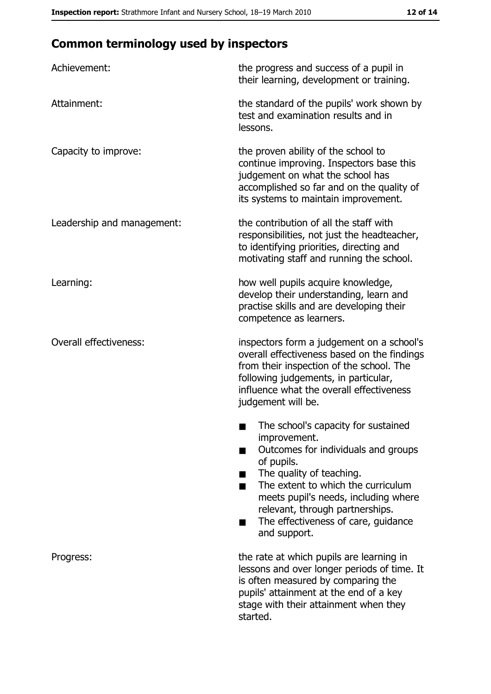# **Common terminology used by inspectors**

| Achievement:                  | the progress and success of a pupil in<br>their learning, development or training.                                                                                                                                                                                                                           |
|-------------------------------|--------------------------------------------------------------------------------------------------------------------------------------------------------------------------------------------------------------------------------------------------------------------------------------------------------------|
| Attainment:                   | the standard of the pupils' work shown by<br>test and examination results and in<br>lessons.                                                                                                                                                                                                                 |
| Capacity to improve:          | the proven ability of the school to<br>continue improving. Inspectors base this<br>judgement on what the school has<br>accomplished so far and on the quality of<br>its systems to maintain improvement.                                                                                                     |
| Leadership and management:    | the contribution of all the staff with<br>responsibilities, not just the headteacher,<br>to identifying priorities, directing and<br>motivating staff and running the school.                                                                                                                                |
| Learning:                     | how well pupils acquire knowledge,<br>develop their understanding, learn and<br>practise skills and are developing their<br>competence as learners.                                                                                                                                                          |
| <b>Overall effectiveness:</b> | inspectors form a judgement on a school's<br>overall effectiveness based on the findings<br>from their inspection of the school. The<br>following judgements, in particular,<br>influence what the overall effectiveness<br>judgement will be.                                                               |
|                               | The school's capacity for sustained<br>improvement.<br>Outcomes for individuals and groups<br>of pupils.<br>The quality of teaching.<br>The extent to which the curriculum<br>meets pupil's needs, including where<br>relevant, through partnerships.<br>The effectiveness of care, guidance<br>and support. |
| Progress:                     | the rate at which pupils are learning in<br>lessons and over longer periods of time. It<br>is often measured by comparing the<br>pupils' attainment at the end of a key<br>stage with their attainment when they<br>started.                                                                                 |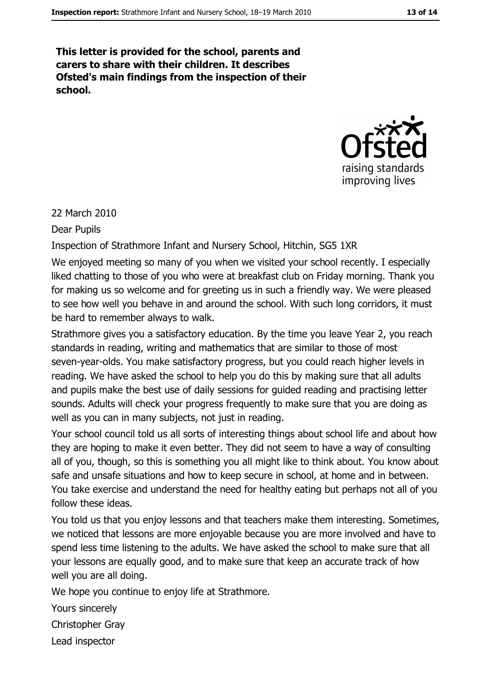This letter is provided for the school, parents and carers to share with their children. It describes Ofsted's main findings from the inspection of their school.



#### 22 March 2010

**Dear Pupils** 

#### Inspection of Strathmore Infant and Nursery School, Hitchin, SG5 1XR

We enjoyed meeting so many of you when we visited your school recently. I especially liked chatting to those of you who were at breakfast club on Friday morning. Thank you for making us so welcome and for greeting us in such a friendly way. We were pleased to see how well you behave in and around the school. With such long corridors, it must be hard to remember always to walk.

Strathmore gives you a satisfactory education. By the time you leave Year 2, you reach standards in reading, writing and mathematics that are similar to those of most seven-year-olds. You make satisfactory progress, but you could reach higher levels in reading. We have asked the school to help you do this by making sure that all adults and pupils make the best use of daily sessions for quided reading and practising letter sounds. Adults will check your progress frequently to make sure that you are doing as well as you can in many subjects, not just in reading.

Your school council told us all sorts of interesting things about school life and about how they are hoping to make it even better. They did not seem to have a way of consulting all of you, though, so this is something you all might like to think about. You know about safe and unsafe situations and how to keep secure in school, at home and in between. You take exercise and understand the need for healthy eating but perhaps not all of you follow these ideas.

You told us that you enjoy lessons and that teachers make them interesting. Sometimes, we noticed that lessons are more enjoyable because you are more involved and have to spend less time listening to the adults. We have asked the school to make sure that all your lessons are equally good, and to make sure that keep an accurate track of how well you are all doing.

We hope you continue to enjoy life at Strathmore.

Yours sincerely

Christopher Gray

Lead inspector